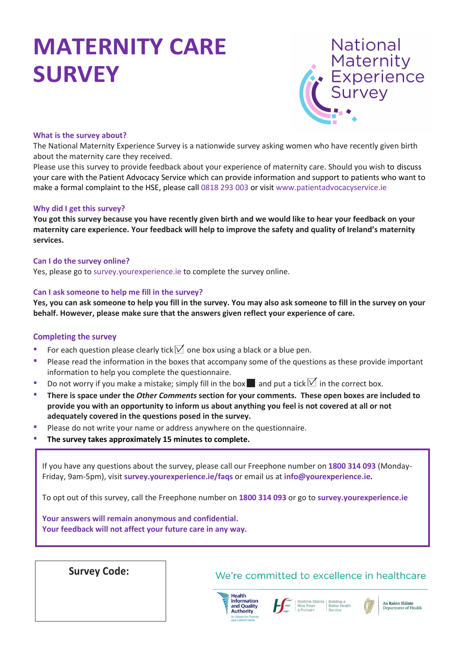# **MATERNITY CARE SURVEY**



#### **What is the survey about?**

The National Maternity Experience Survey is a nationwide survey asking women who have recently given birth about the maternity care they received.

Please use this survey to provide feedback about your experience of maternity care. Should you wish to discuss your care with the Patient Advocacy Service which can provide information and support to patients who want to make a formal complaint to the HSE, please call 0818 293 003 or visit [www.patientadvocacyservice.ie](https://scanmail.trustwave.com/?c=17268&d=zNLL3Q2AxjI-rvvzFG23rZUDNk0koBmulkjTvDhqPw&s=226&u=https%3a%2f%2fwww%2epatientadvocacyservice%2eie%2f)

#### **Why did I get this survey?**

**You got this survey because you have recently given birth and we would like to hear your feedback on your maternity care experience. Your feedback will help to improve the safety and quality of Ireland's maternity services.**

#### **Can I do the survey online?**

Yes, please go to survey.yourexperience.ie to complete the survey online.

#### **Can I ask someone to help me fill in the survey?**

**Yes, you can ask someone to help you fill in the survey. You may also ask someone to fill in the survey on your behalf. However, please make sure that the answers given reflect your experience of care.**

#### **Completing the survey**

- For each question please clearly tick  $\triangledown$  one box using a black or a blue pen.
- **Please read the information in the boxes that accompany some of the questions as these provide important** information to help you complete the questionnaire.
- Do not worry if you make a mistake; simply fill in the box and put a tick  $\Box$  in the correct box.
- **There is space under the** *Other Comments* **section for your comments. These open boxes are included to provide you with an opportunity to inform us about anything you feel is not covered at all or not adequately covered in the questions posed in the survey.**
- **Please do not write your name or address anywhere on the questionnaire.**
- **The survey takes approximately 15 minutes to complete.**

If you have any questions about the survey, please call our Freephone number on **1800 314 093** (Monday-Friday, 9am-5pm), visit **survey.yourexperience.ie/faqs** or email us at **info@yourexperience.ie.** 

To opt out of this survey, call the Freephone number on **1800 314 093** or go to **survey.yourexperience.ie**

**Your answers will remain anonymous and confidential. Your feedback will not affect your future care in any way.**

## **Survey Code:**

#### We're committed to excellence in healthcare



Níos Fear



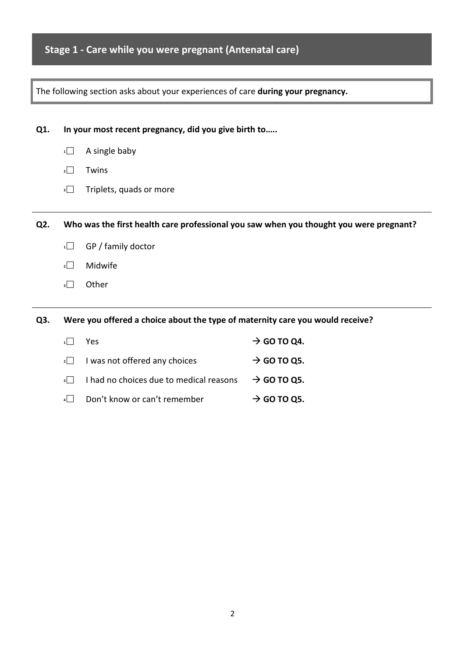## **Stage 1 - Care while you were pregnant (Antenatal care)**

|     | The following section asks about your experiences of care during your pregnancy. |                                                                               |                                                                                        |  |  |  |  |
|-----|----------------------------------------------------------------------------------|-------------------------------------------------------------------------------|----------------------------------------------------------------------------------------|--|--|--|--|
|     |                                                                                  |                                                                               |                                                                                        |  |  |  |  |
| Q1. | In your most recent pregnancy, did you give birth to                             |                                                                               |                                                                                        |  |  |  |  |
|     | 1                                                                                | A single baby                                                                 |                                                                                        |  |  |  |  |
|     | 2                                                                                | Twins                                                                         |                                                                                        |  |  |  |  |
|     | $\overline{\phantom{a}}$                                                         | Triplets, quads or more                                                       |                                                                                        |  |  |  |  |
|     |                                                                                  |                                                                               |                                                                                        |  |  |  |  |
| Q2. |                                                                                  |                                                                               | Who was the first health care professional you saw when you thought you were pregnant? |  |  |  |  |
|     | 1                                                                                | GP / family doctor                                                            |                                                                                        |  |  |  |  |
|     | $\overline{2}$                                                                   | Midwife                                                                       |                                                                                        |  |  |  |  |
|     | 3                                                                                | Other                                                                         |                                                                                        |  |  |  |  |
|     |                                                                                  |                                                                               |                                                                                        |  |  |  |  |
| Q3. |                                                                                  | Were you offered a choice about the type of maternity care you would receive? |                                                                                        |  |  |  |  |
|     | 1                                                                                | Yes                                                                           | $\rightarrow$ GO TO Q4.                                                                |  |  |  |  |
|     | 2                                                                                | I was not offered any choices                                                 | $\rightarrow$ GO TO Q5.                                                                |  |  |  |  |

- **3** I had no choices due to medical reasons  $\rightarrow$  **GO TO Q5.**
- **4** Don't know or can't remember → GO TO Q5.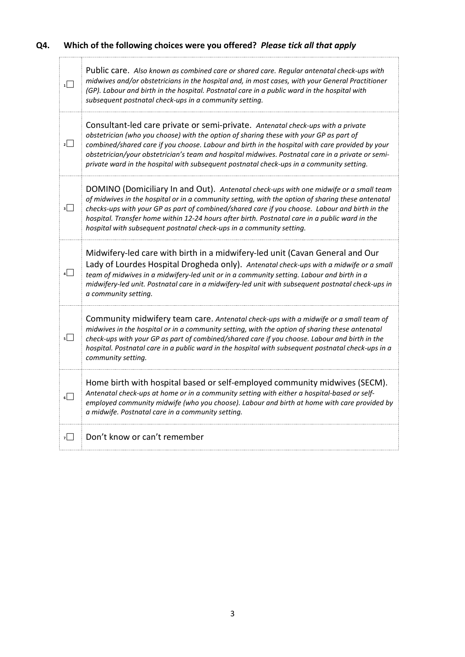## **Q4. Which of the following choices were you offered?** *Please tick all that apply*

| 1               | Public care. Also known as combined care or shared care. Regular antenatal check-ups with<br>midwives and/or obstetricians in the hospital and, in most cases, with your General Practitioner<br>(GP). Labour and birth in the hospital. Postnatal care in a public ward in the hospital with<br>subsequent postnatal check-ups in a community setting.                                                                                                                       |
|-----------------|-------------------------------------------------------------------------------------------------------------------------------------------------------------------------------------------------------------------------------------------------------------------------------------------------------------------------------------------------------------------------------------------------------------------------------------------------------------------------------|
| 2               | Consultant-led care private or semi-private. Antenatal check-ups with a private<br>obstetrician (who you choose) with the option of sharing these with your GP as part of<br>combined/shared care if you choose. Labour and birth in the hospital with care provided by your<br>obstetrician/your obstetrician's team and hospital midwives. Postnatal care in a private or semi-<br>private ward in the hospital with subsequent postnatal check-ups in a community setting. |
| $\vert$         | DOMINO (Domiciliary In and Out). Antenatal check-ups with one midwife or a small team<br>of midwives in the hospital or in a community setting, with the option of sharing these antenatal<br>checks-ups with your GP as part of combined/shared care if you choose. Labour and birth in the<br>hospital. Transfer home within 12-24 hours after birth. Postnatal care in a public ward in the<br>hospital with subsequent postnatal check-ups in a community setting.        |
| $\vert$ $\vert$ | Midwifery-led care with birth in a midwifery-led unit (Cavan General and Our<br>Lady of Lourdes Hospital Drogheda only). Antenatal check-ups with a midwife or a small<br>team of midwives in a midwifery-led unit or in a community setting. Labour and birth in a<br>midwifery-led unit. Postnatal care in a midwifery-led unit with subsequent postnatal check-ups in<br>a community setting.                                                                              |
| 5               | Community midwifery team care. Antenatal check-ups with a midwife or a small team of<br>midwives in the hospital or in a community setting, with the option of sharing these antenatal<br>check-ups with your GP as part of combined/shared care if you choose. Labour and birth in the<br>hospital. Postnatal care in a public ward in the hospital with subsequent postnatal check-ups in a<br>community setting.                                                           |
| $\Box$          | Home birth with hospital based or self-employed community midwives (SECM).<br>Antenatal check-ups at home or in a community setting with either a hospital-based or self-<br>employed community midwife (who you choose). Labour and birth at home with care provided by<br>a midwife. Postnatal care in a community setting.                                                                                                                                                 |
| $\overline{z}$  | Don't know or can't remember                                                                                                                                                                                                                                                                                                                                                                                                                                                  |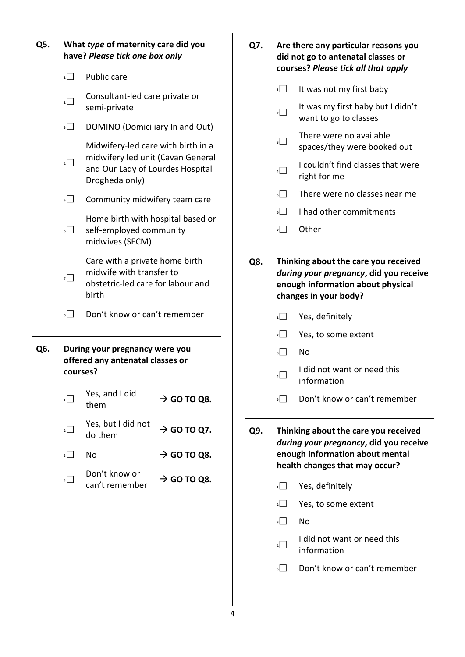| Q5. |                                              | What type of maternity care did you<br>have? Please tick one box only                                    |                         | Q7. | Are there any particular reasons you<br>did not go to antenatal classes or<br>courses? Please tick all that apply |                                                                                                                                              |  |  |
|-----|----------------------------------------------|----------------------------------------------------------------------------------------------------------|-------------------------|-----|-------------------------------------------------------------------------------------------------------------------|----------------------------------------------------------------------------------------------------------------------------------------------|--|--|
|     | $\sqrt{1}$                                   | Public care                                                                                              |                         |     | 1                                                                                                                 | It was not my first baby                                                                                                                     |  |  |
|     | $\overline{2}$                               | Consultant-led care private or<br>semi-private                                                           |                         |     | $\sqrt{2}$                                                                                                        | It was my first baby but I didn't<br>want to go to classes                                                                                   |  |  |
|     | 3                                            | DOMINO (Domiciliary In and Out)<br>Midwifery-led care with birth in a                                    |                         |     | $\overline{\phantom{a}}$                                                                                          | There were no available<br>spaces/they were booked out                                                                                       |  |  |
|     | 4                                            | midwifery led unit (Cavan General<br>and Our Lady of Lourdes Hospital<br>Drogheda only)                  |                         |     | 4                                                                                                                 | I couldn't find classes that were<br>right for me                                                                                            |  |  |
|     | $5\Box$                                      | Community midwifery team care                                                                            |                         |     | $5$                                                                                                               | There were no classes near me                                                                                                                |  |  |
|     |                                              | Home birth with hospital based or                                                                        |                         |     | $6$                                                                                                               | I had other commitments                                                                                                                      |  |  |
|     | $6\Box$                                      | self-employed community<br>midwives (SECM)                                                               |                         |     | $\mathbf{z}$                                                                                                      | Other                                                                                                                                        |  |  |
|     | 7□                                           | Care with a private home birth<br>midwife with transfer to<br>obstetric-led care for labour and<br>birth |                         | Q8. |                                                                                                                   | Thinking about the care you received<br>during your pregnancy, did you receive<br>enough information about physical<br>changes in your body? |  |  |
|     | $\overline{\phantom{0}}$                     | Don't know or can't remember                                                                             |                         |     | 1                                                                                                                 | Yes, definitely                                                                                                                              |  |  |
|     |                                              |                                                                                                          |                         |     | $2$                                                                                                               | Yes, to some extent                                                                                                                          |  |  |
| Q6. |                                              | During your pregnancy were you                                                                           |                         |     | 3                                                                                                                 | No                                                                                                                                           |  |  |
|     | offered any antenatal classes or<br>courses? |                                                                                                          |                         |     | 4                                                                                                                 | I did not want or need this<br>information                                                                                                   |  |  |
|     | 1                                            | Yes, and I did<br>them                                                                                   | $\rightarrow$ GO TO Q8. |     | $5\Box$                                                                                                           | Don't know or can't remember                                                                                                                 |  |  |
|     | $\overline{2}$                               | Yes, but I did not<br>do them                                                                            | $\rightarrow$ GO TO Q7. | Q9. |                                                                                                                   | Thinking about the care you received<br>during your pregnancy, did you receive                                                               |  |  |
|     | 3                                            | No                                                                                                       | $\rightarrow$ GO TO Q8. |     |                                                                                                                   | enough information about mental                                                                                                              |  |  |
|     | 4                                            | Don't know or                                                                                            | $\rightarrow$ GO TO Q8. |     |                                                                                                                   | health changes that may occur?                                                                                                               |  |  |
|     |                                              | can't remember                                                                                           |                         |     | $\overline{1}$                                                                                                    | Yes, definitely                                                                                                                              |  |  |
|     |                                              |                                                                                                          |                         |     | $\mathbf{2}$                                                                                                      | Yes, to some extent                                                                                                                          |  |  |
|     |                                              |                                                                                                          |                         |     | 3                                                                                                                 | No                                                                                                                                           |  |  |
|     |                                              |                                                                                                          |                         |     | 4                                                                                                                 | I did not want or need this<br>information                                                                                                   |  |  |
|     |                                              |                                                                                                          |                         |     | 5                                                                                                                 | Don't know or can't remember                                                                                                                 |  |  |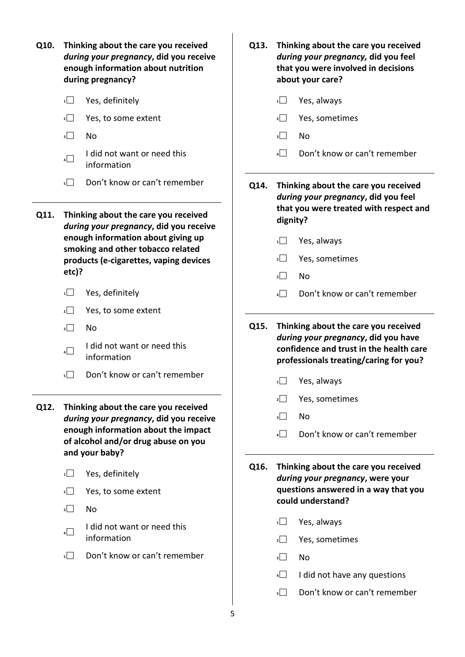| Q10. | Thinking about the care you received<br>during your pregnancy, did you receive<br>enough information about nutrition<br>during pregnancy? | Q13. | Thinking about the care you received<br>during your pregnancy, did you feel<br>that you were involved in decisions<br>about your care? |  |  |
|------|-------------------------------------------------------------------------------------------------------------------------------------------|------|----------------------------------------------------------------------------------------------------------------------------------------|--|--|
|      | $1$ $\Box$<br>Yes, definitely                                                                                                             |      | 1<br>Yes, always                                                                                                                       |  |  |
|      | Yes, to some extent<br>2                                                                                                                  |      | Yes, sometimes<br>2                                                                                                                    |  |  |
|      | 3<br>No                                                                                                                                   |      | 3<br>No                                                                                                                                |  |  |
|      | I did not want or need this<br>4<br>information                                                                                           |      | Don't know or can't remember<br>4                                                                                                      |  |  |
|      | Don't know or can't remember<br>$5\Box$                                                                                                   | Q14. | Thinking about the care you received<br>during your pregnancy, did you feel                                                            |  |  |
| Q11. | Thinking about the care you received<br>during your pregnancy, did you receive                                                            |      | that you were treated with respect and<br>dignity?                                                                                     |  |  |
|      | enough information about giving up<br>smoking and other tobacco related                                                                   |      | Yes, always<br>1                                                                                                                       |  |  |
|      | products (e-cigarettes, vaping devices                                                                                                    |      | Yes, sometimes<br>2                                                                                                                    |  |  |
|      | etc)?                                                                                                                                     |      | 3<br>No                                                                                                                                |  |  |
|      | Yes, definitely<br>1                                                                                                                      |      | Don't know or can't remember<br>4                                                                                                      |  |  |
|      | $\overline{2}$<br>Yes, to some extent                                                                                                     |      |                                                                                                                                        |  |  |
|      | $\overline{\phantom{a}}$<br>No                                                                                                            | Q15. | Thinking about the care you received<br>during your pregnancy, did you have                                                            |  |  |
|      | I did not want or need this<br>4<br>information                                                                                           |      | confidence and trust in the health care<br>professionals treating/caring for you?                                                      |  |  |
|      | Don't know or can't remember<br>5                                                                                                         |      | 1<br>Yes, always                                                                                                                       |  |  |
|      |                                                                                                                                           |      | Yes, sometimes<br>2                                                                                                                    |  |  |
| Q12. | Thinking about the care you received<br>during your pregnancy, did you receive                                                            |      | 3<br>No                                                                                                                                |  |  |
|      | enough information about the impact<br>of alcohol and/or drug abuse on you<br>and your baby?                                              |      | Don't know or can't remember<br>4                                                                                                      |  |  |
|      |                                                                                                                                           | Q16. | Thinking about the care you received                                                                                                   |  |  |
|      | Yes, definitely<br>1                                                                                                                      |      | during your pregnancy, were your<br>questions answered in a way that you                                                               |  |  |
|      | Yes, to some extent<br>2                                                                                                                  |      | could understand?                                                                                                                      |  |  |
|      | No<br>3                                                                                                                                   |      | Yes, always<br>1                                                                                                                       |  |  |
|      | I did not want or need this<br>4<br>information                                                                                           |      | Yes, sometimes<br>2                                                                                                                    |  |  |
|      | Don't know or can't remember<br>$5$                                                                                                       |      | 3<br>No                                                                                                                                |  |  |
|      |                                                                                                                                           |      | I did not have any questions<br>4                                                                                                      |  |  |
|      |                                                                                                                                           |      | Don't know or can't remember<br>$5\Box$                                                                                                |  |  |
|      |                                                                                                                                           |      |                                                                                                                                        |  |  |

5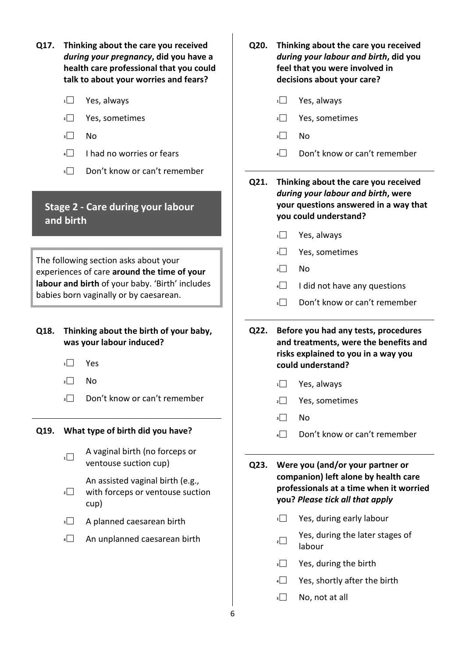- **Q17. Thinking about the care you received**  *during your pregnancy***, did you have a health care professional that you could talk to about your worries and fears?**
	- **<sup>1</sup>** Yes, always
	- **<sup>2</sup>** Yes, sometimes
	- **<sup>3</sup>** No
	- **<sup>4</sup>** I had no worries or fears
	- **5** Don't know or can't remember

## **Stage 2 - Care during your labour and birth**

The following section asks about your experiences of care **around the time of your labour and birth** of your baby. 'Birth' includes babies born vaginally or by caesarean.

#### **Q18. Thinking about the birth of your baby, was your labour induced?**

- **<sup>1</sup>** Yes
- $2 \Box$  No
- **3** Don't know or can't remember

#### **Q19. What type of birth did you have?**

- **1** A vaginal birth (no forceps or ventouse suction cup)
	- An assisted vaginal birth (e.g.,
- **2** with forceps or ventouse suction cup)
- **3** A planned caesarean birth
- **4** An unplanned caesarean birth
- **Q20. Thinking about the care you received**  *during your labour and birth***, did you feel that you were involved in decisions about your care?**
	- **<sup>1</sup>** Yes, always
	- **<sup>2</sup>** Yes, sometimes
	- **<sup>3</sup>** No
	- **4** Don't know or can't remember

**Q21. Thinking about the care you received**  *during your labour and birth***, were your questions answered in a way that you could understand?**

- **<sup>1</sup>** Yes, always
- **<sup>2</sup>** Yes, sometimes
- **<sup>3</sup>** No
- **4** I did not have any questions
- **5** Don't know or can't remember
- **Q22. Before you had any tests, procedures and treatments, were the benefits and risks explained to you in a way you could understand?**
	- **<sup>1</sup>** Yes, always
	- **<sup>2</sup>** Yes, sometimes
	- **<sup>3</sup>** No
	- **4** Don't know or can't remember

**Q23. Were you (and/or your partner or companion) left alone by health care professionals at a time when it worried you?** *Please tick all that apply*

- **1** Yes, during early labour
- **2** Yes, during the later stages of labour
- **3** Yes, during the birth
- **<sup>4</sup>** Yes, shortly after the birth
- **<sup>5</sup>** No, not at all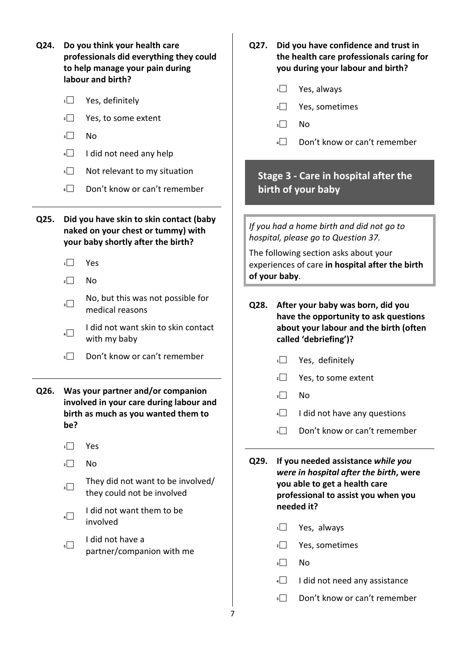| Q24. Do you think your health care      |  |  |  |  |  |
|-----------------------------------------|--|--|--|--|--|
| professionals did everything they could |  |  |  |  |  |
| to help manage your pain during         |  |  |  |  |  |
| labour and birth?                       |  |  |  |  |  |

- 1<sup>1</sup> Yes, definitely
- **2** Yes, to some extent
- **<sup>3</sup>** No
- **<sup>4</sup>** I did not need any help
- **5** Not relevant to my situation
- **6** Don't know or can't remember

**Q25. Did you have skin to skin contact (baby naked on your chest or tummy) with your baby shortly after the birth?**

- **<sup>1</sup>** Yes
- $2 \Box$  No
- **3** No, but this was not possible for medical reasons
- **4 I** did not want skin to skin contact with my baby
- **5** Don't know or can't remember
- **Q26. Was your partner and/or companion involved in your care during labour and birth as much as you wanted them to be?** 
	- **<sup>1</sup>** Yes
	- $2 \Box$  No
	- **3** They did not want to be involved/ they could not be involved
	- **4 I** did not want them to be involved
	- **<sup>5</sup>** I did not have a partner/companion with me
- **Q27. Did you have confidence and trust in the health care professionals caring for you during your labour and birth?**
	- **<sup>1</sup>** Yes, always
	- **<sup>2</sup>** Yes, sometimes
	- **<sup>3</sup>** No
	- **<sup>4</sup>** Don't know or can't remember

## **Stage 3 - Care in hospital after the birth of your baby**

*If you had a home birth and did not go to hospital, please go to Question 37.*

The following section asks about your experiences of care **in hospital after the birth of your baby**.

- **Q28. After your baby was born, did you have the opportunity to ask questions about your labour and the birth (often called 'debriefing')?**
	- 1<sup>1</sup> Yes, definitely
	- **2** Yes, to some extent
	- **<sup>3</sup>** No
	- **4** I did not have any questions
	- **5** Don't know or can't remember
- **Q29. If you needed assistance** *while you were in hospital after the birth***, were you able to get a health care professional to assist you when you needed it?**
	- **<sup>1</sup>** Yes, always
	- **<sup>2</sup>** Yes, sometimes
	- **<sup>3</sup>** No
	- **4** I did not need any assistance
	- **5** Don't know or can't remember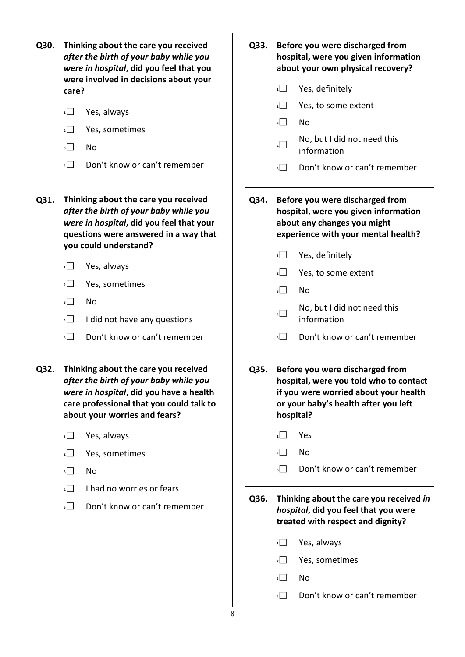| Q30. | Thinking about the care you received<br>after the birth of your baby while you<br>were in hospital, did you feel that you<br>were involved in decisions about your<br>care?<br>Yes, always<br>1<br>$\overline{2}$<br>Yes, sometimes<br>$\overline{\phantom{a}}$<br>No<br>Don't know or can't remember<br>4 | Q33. | Before you were discharged from<br>hospital, were you given information<br>about your own physical recovery?<br>Yes, definitely<br>1<br>$\overline{2}$<br>Yes, to some extent<br>3<br>No<br>No, but I did not need this<br>4<br>information<br>Don't know or can't remember<br>5 |
|------|------------------------------------------------------------------------------------------------------------------------------------------------------------------------------------------------------------------------------------------------------------------------------------------------------------|------|----------------------------------------------------------------------------------------------------------------------------------------------------------------------------------------------------------------------------------------------------------------------------------|
| Q31. | Thinking about the care you received<br>after the birth of your baby while you<br>were in hospital, did you feel that your<br>questions were answered in a way that<br>you could understand?                                                                                                               | Q34. | Before you were discharged from<br>hospital, were you given information<br>about any changes you might<br>experience with your mental health?<br>1<br>Yes, definitely                                                                                                            |
|      | Yes, always<br>1                                                                                                                                                                                                                                                                                           |      | $\overline{2}$<br>Yes, to some extent                                                                                                                                                                                                                                            |
|      | $\overline{2}$<br>Yes, sometimes                                                                                                                                                                                                                                                                           |      | 3<br>No                                                                                                                                                                                                                                                                          |
|      | $\overline{\phantom{a}}$<br>No                                                                                                                                                                                                                                                                             |      | No, but I did not need this                                                                                                                                                                                                                                                      |
|      | 4<br>I did not have any questions                                                                                                                                                                                                                                                                          |      | 4<br>information                                                                                                                                                                                                                                                                 |
|      | Don't know or can't remember<br>5                                                                                                                                                                                                                                                                          |      | Don't know or can't remember<br>5                                                                                                                                                                                                                                                |
| Q32. | Thinking about the care you received<br>after the birth of your baby while you<br>were in hospital, did you have a health<br>care professional that you could talk to<br>about your worries and fears?                                                                                                     | Q35. | Before you were discharged from<br>hospital, were you told who to contact<br>if you were worried about your health<br>or your baby's health after you left<br>hospital?                                                                                                          |
|      | Yes, always<br>1                                                                                                                                                                                                                                                                                           |      | Yes<br>1                                                                                                                                                                                                                                                                         |
|      | Yes, sometimes<br>2                                                                                                                                                                                                                                                                                        |      | No<br>$2\Box$                                                                                                                                                                                                                                                                    |
|      | No<br>3                                                                                                                                                                                                                                                                                                    |      | Don't know or can't remember<br>3                                                                                                                                                                                                                                                |
|      | I had no worries or fears<br>4                                                                                                                                                                                                                                                                             |      |                                                                                                                                                                                                                                                                                  |
|      | Don't know or can't remember<br>$5\Box$                                                                                                                                                                                                                                                                    | Q36. | Thinking about the care you received in<br>hospital, did you feel that you were<br>treated with respect and dignity?                                                                                                                                                             |
|      |                                                                                                                                                                                                                                                                                                            |      | Yes, always<br>1                                                                                                                                                                                                                                                                 |
|      |                                                                                                                                                                                                                                                                                                            |      | Yes, sometimes<br>2                                                                                                                                                                                                                                                              |
|      |                                                                                                                                                                                                                                                                                                            |      | 3<br>No                                                                                                                                                                                                                                                                          |
|      |                                                                                                                                                                                                                                                                                                            |      | Don't know or can't remember<br>4                                                                                                                                                                                                                                                |

 $\begin{matrix} \frac{1}{8} \end{matrix}$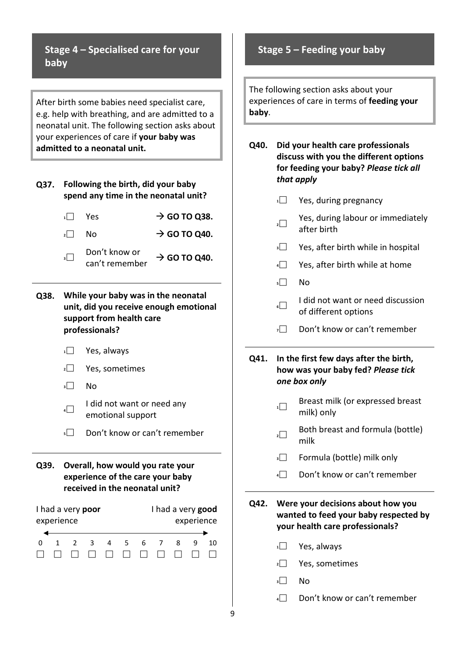**Stage 4 – Specialised care for your baby**

After birth some babies need specialist care, e.g. help with breathing, and are admitted to a neonatal unit. The following section asks about your experiences of care if **your baby was admitted to a neonatal unit.**

#### **Q37. Following the birth, did your baby spend any time in the neonatal unit?**

| $1 \quad 1$ | Yes                             | $\rightarrow$ GO TO Q38. |
|-------------|---------------------------------|--------------------------|
| $2$         | N٥                              | $\rightarrow$ GO TO Q40. |
| al.         | Don't know or<br>can't remember | $\rightarrow$ GO TO Q40. |

#### **Q38. While your baby was in the neonatal unit, did you receive enough emotional support from health care professionals?**

- **<sup>1</sup>** Yes, always
- **<sup>2</sup>** Yes, sometimes
- **<sup>3</sup>** No
- **4 I** did not want or need any emotional support
- **5** Don't know or can't remember
- **Q39. Overall, how would you rate your experience of the care your baby received in the neonatal unit?**

| I had a very poor |  |  |                |        |                |   | I had a very good |   |            |    |
|-------------------|--|--|----------------|--------|----------------|---|-------------------|---|------------|----|
| experience        |  |  |                |        |                |   |                   |   | experience |    |
|                   |  |  |                |        |                |   |                   |   |            |    |
|                   |  |  | $\overline{3}$ | Δ      | 5 <sup>2</sup> | 6 | $\overline{7}$    | Ջ |            | 10 |
|                   |  |  | $\mathbf{1}$   | $\Box$ |                |   | $\Box$            |   |            |    |

## **Stage 5 – Feeding your baby**

The following section asks about your experiences of care in terms of **feeding your baby**.

**Q40. Did your health care professionals discuss with you the different options for feeding your baby?** *Please tick all that apply*

- **1** Yes, during pregnancy
- **2** Yes, during labour or immediately after birth
- **3** Yes, after birth while in hospital
- **<sup>4</sup>** Yes, after birth while at home
- **<sup>5</sup>** No
- **6** I did not want or need discussion of different options
- **7** Don't know or can't remember
- **Q41. In the first few days after the birth, how was your baby fed?** *Please tick one box only*
	- **1** Breast milk (or expressed breast milk) only
	- **2** Both breast and formula (bottle) milk
	- **3** Formula (bottle) milk only
	- **<sup>4</sup>** Don't know or can't remember

**Q42. Were your decisions about how you wanted to feed your baby respected by your health care professionals?**

- **<sup>1</sup>** Yes, always
- **<sup>2</sup>** Yes, sometimes
- **<sup>3</sup>** No
- **4** Don't know or can't remember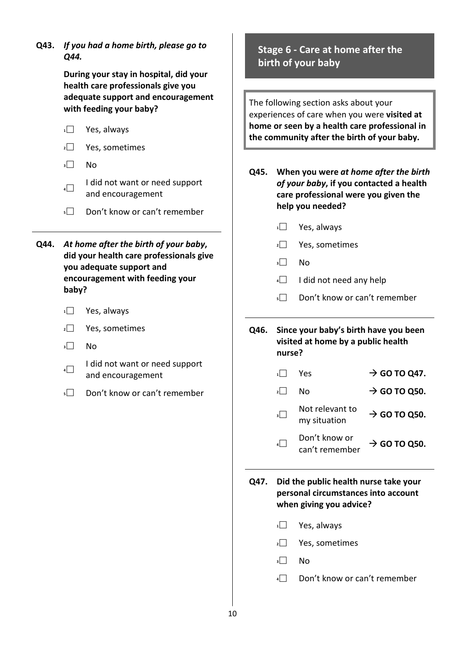**Q43.** *If you had a home birth, please go to Q44.* **During your stay in hospital, did your health care professionals give you adequate support and encouragement with feeding your baby? <sup>1</sup>** Yes, always **<sup>2</sup>** Yes, sometimes **<sup>3</sup>** No **4 I** did not want or need support and encouragement **5** Don't know or can't remember **Q44.** *At home after the birth of your baby***, did your health care professionals give you adequate support and encouragement with feeding your baby? <sup>1</sup>** Yes, always **<sup>2</sup>** Yes, sometimes **<sup>3</sup>** No **4 I** did not want or need support and encouragement **5** Don't know or can't remember **Stage 6 - Care at home after the birth of your baby** The following section asks about your experiences of care when you were **visited at home or seen by a health care professional in the community after the birth of your baby. Q45. When you were** *at home after the birth of your baby***, if you contacted a health care professional were you given the help you needed? <sup>1</sup>** Yes, always **<sup>2</sup>** Yes, sometimes **<sup>3</sup>** No **4 I** did not need any help **5** Don't know or can't remember **Q46. Since your baby's birth have you been visited at home by a public health nurse?**  $\overline{\phantom{a}}$  Yes  $\overline{\phantom{a}}$  **GO TO Q47.**  $\overline{2}$  No  $\overline{2}$  **GO TO Q50. 3** Not relevant to<br>**2** my situation  $\rightarrow$  GO TO Q50. **4** Don't know or<br>can't remember  $\rightarrow$  GO TO Q50. **Q47. Did the public health nurse take your personal circumstances into account when giving you advice? <sup>1</sup>** Yes, always **<sup>2</sup>** Yes, sometimes **<sup>3</sup>** No **<sup>4</sup>** Don't know or can't remember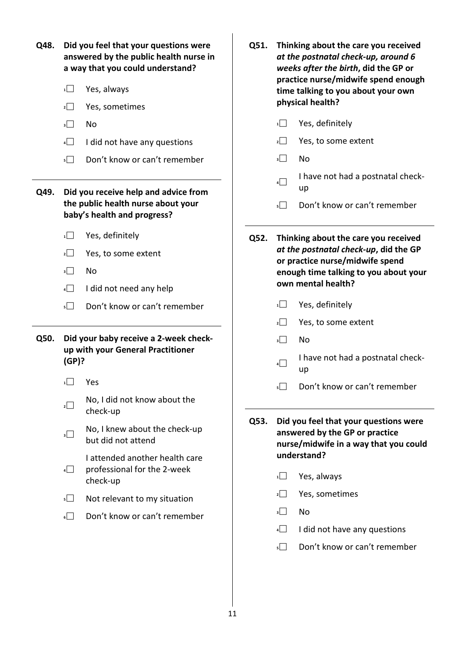| Q48. |                          | Did you feel that your questions were<br>answered by the public health nurse in<br>a way that you could understand? | Q51. | Thinking about the care you received<br>at the postnatal check-up, around 6<br>weeks after the birth, did the GP or |                                                                                                                  |  |  |
|------|--------------------------|---------------------------------------------------------------------------------------------------------------------|------|---------------------------------------------------------------------------------------------------------------------|------------------------------------------------------------------------------------------------------------------|--|--|
|      | 1                        | Yes, always                                                                                                         |      |                                                                                                                     | practice nurse/midwife spend enough<br>time talking to you about your own                                        |  |  |
|      | 2                        | Yes, sometimes                                                                                                      |      |                                                                                                                     | physical health?                                                                                                 |  |  |
|      | $\overline{\phantom{a}}$ | No                                                                                                                  |      | 1                                                                                                                   | Yes, definitely                                                                                                  |  |  |
|      | 4                        | I did not have any questions                                                                                        |      | $\overline{2}$                                                                                                      | Yes, to some extent                                                                                              |  |  |
|      | $\overline{\phantom{a}}$ | Don't know or can't remember                                                                                        |      | 3                                                                                                                   | No                                                                                                               |  |  |
| Q49. |                          | Did you receive help and advice from<br>the public health nurse about your<br>baby's health and progress?           |      | 4<br>$5$                                                                                                            | I have not had a postnatal check-<br>up<br>Don't know or can't remember                                          |  |  |
|      | 1                        | Yes, definitely                                                                                                     | Q52. |                                                                                                                     | Thinking about the care you received                                                                             |  |  |
|      | $\overline{2}$           | Yes, to some extent                                                                                                 |      |                                                                                                                     | at the postnatal check-up, did the GP                                                                            |  |  |
|      | 3                        | No                                                                                                                  |      |                                                                                                                     | or practice nurse/midwife spend<br>enough time talking to you about your                                         |  |  |
|      | 4                        | I did not need any help                                                                                             |      |                                                                                                                     | own mental health?                                                                                               |  |  |
|      | $\overline{\phantom{a}}$ | Don't know or can't remember                                                                                        |      | 1                                                                                                                   | Yes, definitely                                                                                                  |  |  |
|      |                          |                                                                                                                     |      | 2                                                                                                                   | Yes, to some extent                                                                                              |  |  |
| Q50. |                          | Did your baby receive a 2-week check-                                                                               |      | $\overline{\phantom{a}}$                                                                                            | No                                                                                                               |  |  |
|      | (GP)?                    | up with your General Practitioner                                                                                   |      | $\vert$                                                                                                             | I have not had a postnatal check-<br>up                                                                          |  |  |
|      | $\overline{1}$           | Yes                                                                                                                 |      | $\vert$                                                                                                             | Don't know or can't remember                                                                                     |  |  |
|      | $\overline{2}$           | No, I did not know about the<br>check-up                                                                            | Q53. |                                                                                                                     |                                                                                                                  |  |  |
|      | $\overline{\phantom{a}}$ | No, I knew about the check-up<br>but did not attend                                                                 |      |                                                                                                                     | Did you feel that your questions were<br>answered by the GP or practice<br>nurse/midwife in a way that you could |  |  |
|      | $4\Box$                  | I attended another health care<br>professional for the 2-week<br>check-up                                           |      | 1                                                                                                                   | understand?<br>Yes, always                                                                                       |  |  |
|      | $\overline{\phantom{a}}$ | Not relevant to my situation                                                                                        |      | $\mathbf{2}$                                                                                                        | Yes, sometimes                                                                                                   |  |  |
|      | $\overline{\phantom{0}}$ | Don't know or can't remember                                                                                        |      | 3                                                                                                                   | No                                                                                                               |  |  |
|      |                          |                                                                                                                     |      | 4                                                                                                                   | I did not have any questions                                                                                     |  |  |
|      |                          |                                                                                                                     |      | 5                                                                                                                   | Don't know or can't remember                                                                                     |  |  |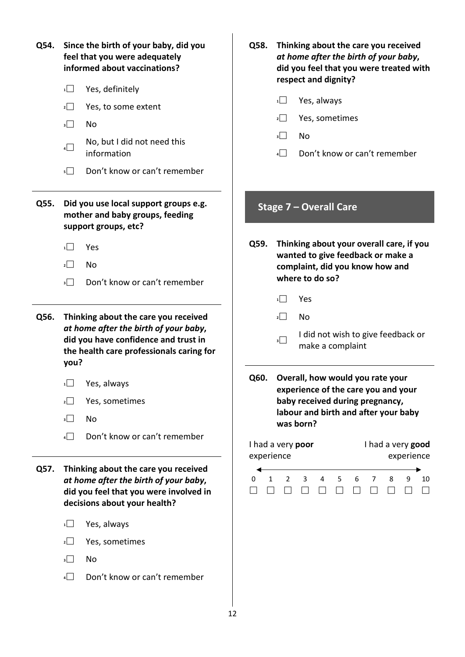| Q54. | Since the birth of your baby, did you<br>feel that you were adequately<br>informed about vaccinations?<br>Yes, definitely<br>1<br>$\overline{2}$<br>Yes, to some extent<br>3<br>No | Q58.                            | Thinking about the care you received<br>at home after the birth of your baby,<br>did you feel that you were treated with<br>respect and dignity?<br>$\frac{1}{1}$<br>Yes, always<br>Yes, sometimes<br>$\overline{2}$<br>No<br>3 |
|------|------------------------------------------------------------------------------------------------------------------------------------------------------------------------------------|---------------------------------|---------------------------------------------------------------------------------------------------------------------------------------------------------------------------------------------------------------------------------|
|      | No, but I did not need this<br>$4\Box$<br>information<br>Don't know or can't remember<br>$5\Box$                                                                                   |                                 | Don't know or can't remember<br>4                                                                                                                                                                                               |
| Q55. | Did you use local support groups e.g.<br>mother and baby groups, feeding<br>support groups, etc?                                                                                   |                                 | Stage 7 - Overall Care                                                                                                                                                                                                          |
|      | 1<br>Yes<br>$\overline{2}$<br>No<br>Don't know or can't remember<br>$\overline{\phantom{a}}$                                                                                       | Q59.                            | Thinking about your overall care, if you<br>wanted to give feedback or make a<br>complaint, did you know how and<br>where to do so?<br>Yes<br>1                                                                                 |
| Q56. | Thinking about the care you received<br>at home after the birth of your baby,<br>did you have confidence and trust in<br>the health care professionals caring for<br>you?          |                                 | No<br>$\vert$  <br>I did not wish to give feedback or<br>3<br>make a complaint                                                                                                                                                  |
|      | $\overline{1}$<br>Yes, always<br>Yes, sometimes<br>$\overline{2}$<br>$\overline{\phantom{a}}$<br>No<br>Don't know or can't remember<br>$4\Box$                                     | Q60.                            | Overall, how would you rate your<br>experience of the care you and your<br>baby received during pregnancy,<br>labour and birth and after your baby<br>was born?                                                                 |
| Q57. | Thinking about the care you received<br>at home after the birth of your baby,<br>did you feel that you were involved in<br>decisions about your health?                            | experience<br>0<br>$\mathbf{1}$ | I had a very poor<br>I had a very good<br>experience<br>9<br>$\overline{2}$<br>5<br>8<br>3<br>4<br>6<br>7<br>10<br>$\perp$                                                                                                      |
|      | Yes, always<br>$\mathbf{1}$<br>$\overline{2}$<br>Yes, sometimes<br>$\overline{\phantom{a}}$<br>No                                                                                  |                                 |                                                                                                                                                                                                                                 |

**<sup>4</sup>** Don't know or can't remember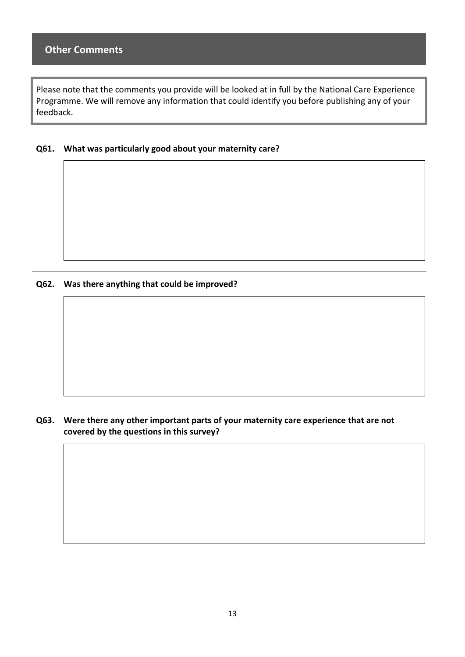Please note that the comments you provide will be looked at in full by the National Care Experience Programme. We will remove any information that could identify you before publishing any of your feedback.

**Q61. What was particularly good about your maternity care?** 

**Q62. Was there anything that could be improved?** 

#### **Q63. Were there any other important parts of your maternity care experience that are not covered by the questions in this survey?**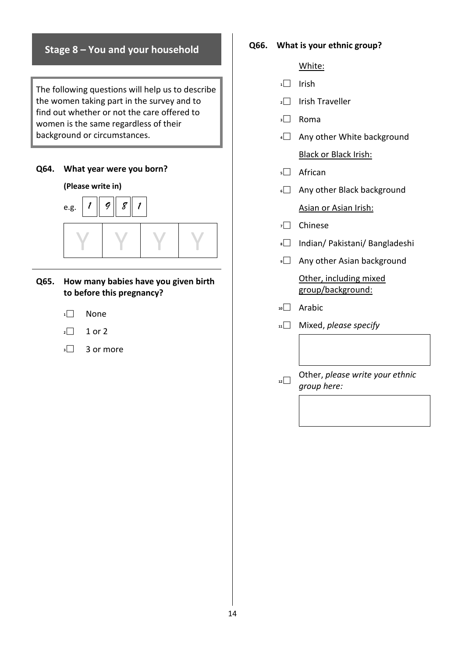## **Stage 8 – You and your household**

The following questions will help us to describe the women taking part in the survey and to find out whether or not the care offered to women is the same regardless of their background or circumstances.

#### **Q64. What year were you born?**



#### **Q65. How many babies have you given birth to before this pregnancy?**

- **<sup>1</sup>** None
- $\sqrt{2}$  1 or 2
- $\sqrt{3}$  3 or more

#### **Q66. What is your ethnic group?**

#### White:

- **<sup>1</sup>** Irish
- **<sup>2</sup>** Irish Traveller
- **<sup>3</sup>** Roma
- **4** Any other White background Black or Black Irish:
- **<sup>5</sup>** African
- **6** Any other Black background Asian or Asian Irish:
- **<sup>7</sup>** Chinese
- **<sup>8</sup>** Indian/ Pakistani/ Bangladeshi
- **Pany other Asian background**

Other, including mixed group/background:

- **<sup>10</sup>** Arabic
- **<sup>11</sup>** Mixed, *please specify*
- **<sup>12</sup>** Other, *please write your ethnic group here:*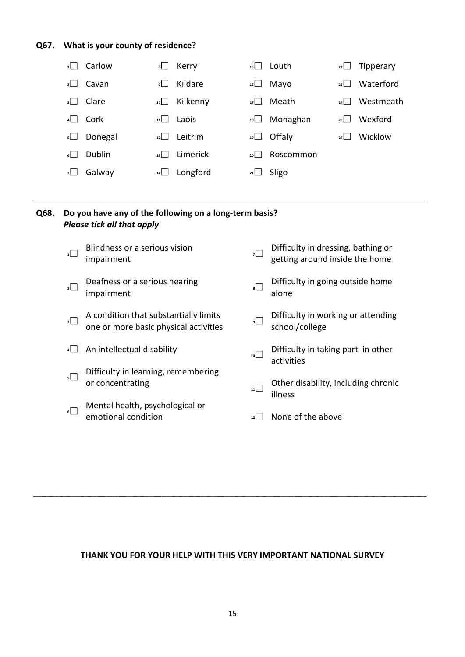## **Q67. What is your county of residence?**

|            | Carlow  | 8    | Kerry    | $15$ | Louth     | 22   | Tipperary |
|------------|---------|------|----------|------|-----------|------|-----------|
| 2 I        | Cavan   | ا او | Kildare  | 16   | Mayo      | 23   | Waterford |
| 3          | Clare   | $10$ | Kilkenny | $17$ | Meath     | 24 I | Westmeath |
| 4          | Cork    | 11   | Laois    | 18   | Monaghan  | 25 L | Wexford   |
| 5 <u> </u> | Donegal | 12   | Leitrim  | 19   | Offaly    | 26 I | Wicklow   |
| 6          | Dublin  | 13   | Limerick | $20$ | Roscommon |      |           |
| <b>7</b>   | Galway  | 14   | Longford | 21   | Sligo     |      |           |

## **Q68. Do you have any of the following on a long-term basis?**  *Please tick all that apply*

| $\overline{1}$           | Blindness or a serious vision<br>impairment                                    |         | Difficulty in dressing, bathing or<br>getting around inside the home |
|--------------------------|--------------------------------------------------------------------------------|---------|----------------------------------------------------------------------|
| $\overline{2}$           | Deafness or a serious hearing<br>impairment                                    | $\vert$ | Difficulty in going outside home<br>alone                            |
| $\overline{\phantom{a}}$ | A condition that substantially limits<br>one or more basic physical activities | ⊔و      | Difficulty in working or attending<br>school/college                 |
|                          | An intellectual disability                                                     | $_{10}$ | Difficulty in taking part in other<br>activities                     |
| $\overline{\phantom{a}}$ | Difficulty in learning, remembering<br>or concentrating                        | 11      | Other disability, including chronic<br>illness                       |
| $\overline{\phantom{0}}$ | Mental health, psychological or<br>emotional condition                         | 12      | None of the above                                                    |
|                          |                                                                                |         |                                                                      |

#### **THANK YOU FOR YOUR HELP WITH THIS VERY IMPORTANT NATIONAL SURVEY**

\_\_\_\_\_\_\_\_\_\_\_\_\_\_\_\_\_\_\_\_\_\_\_\_\_\_\_\_\_\_\_\_\_\_\_\_\_\_\_\_\_\_\_\_\_\_\_\_\_\_\_\_\_\_\_\_\_\_\_\_\_\_\_\_\_\_\_\_\_\_\_\_\_\_\_\_\_\_\_\_\_\_\_\_\_\_\_\_\_\_\_\_